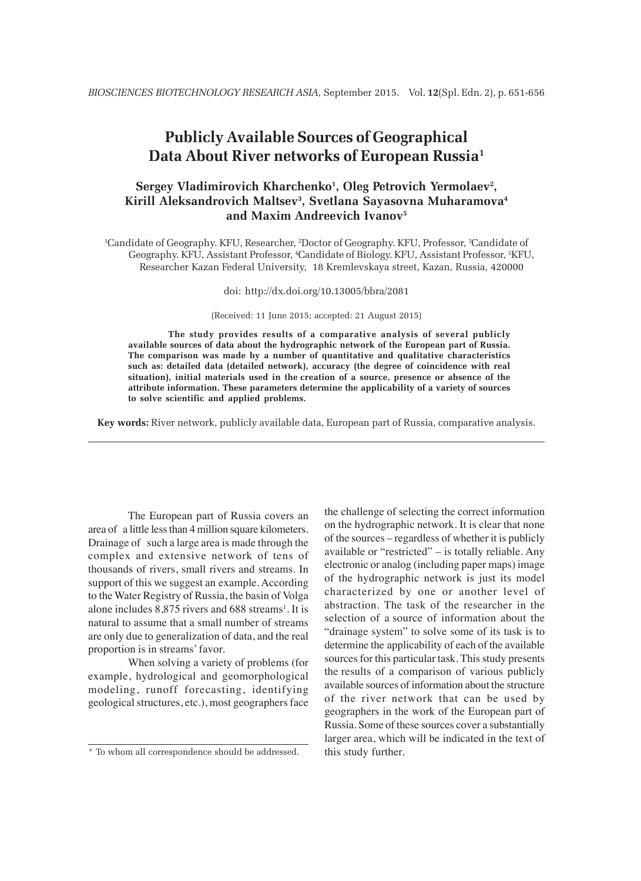# **Publicly Available Sources of Geographical Data About River networks of European Russia1**

# **Sergey Vladimirovich Kharchenko1 , Oleg Petrovich Yermolaev2 , Kirill Aleksandrovich Maltsev3 , Svetlana Sayasovna Muharamova4 and Maxim Andreevich Ivanov5**

1 Candidate of Geography. KFU, Researcher, 2 Doctor of Geography. KFU, Professor, 3 Candidate of Geography. KFU, Assistant Professor, 4 Candidate of Biology. KFU, Assistant Professor, 5 KFU, Researcher Kazan Federal University, 18 Kremlevskaya street, Kazan, Russia, 420000

#### doi: http://dx.doi.org/10.13005/bbra/2081

(Received: 11 June 2015; accepted: 21 August 2015)

**The study provides results of a comparative analysis of several publicly available sources of data about the hydrographic network of the European part of Russia. The comparison was made by a number of quantitative and qualitative characteristics such as: detailed data (detailed network), accuracy (the degree of coincidence with real situation), initial materials used in the creation of a source, presence or absence of the attribute information. These parameters determine the applicability of a variety of sources to solve scientific and applied problems.**

**Key words:** River network, publicly available data, European part of Russia, comparative analysis.

The European part of Russia covers an area of a little less than 4 million square kilometers. Drainage of such a large area is made through the complex and extensive network of tens of thousands of rivers, small rivers and streams. In support of this we suggest an example. According to the Water Registry of Russia, the basin of Volga alone includes 8,875 rivers and 688 streams<sup>1</sup>. It is natural to assume that a small number of streams are only due to generalization of data, and the real proportion is in streams' favor.

When solving a variety of problems (for example, hydrological and geomorphological modeling, runoff forecasting, identifying geological structures, etc.), most geographers face the challenge of selecting the correct information on the hydrographic network. It is clear that none of the sources – regardless of whether it is publicly available or "restricted" – is totally reliable. Any electronic or analog (including paper maps) image of the hydrographic network is just its model characterized by one or another level of abstraction. The task of the researcher in the selection of a source of information about the "drainage system" to solve some of its task is to determine the applicability of each of the available sources for this particular task. This study presents the results of a comparison of various publicly available sources of information about the structure of the river network that can be used by geographers in the work of the European part of Russia. Some of these sources cover a substantially larger area, which will be indicated in the text of this study further.

<sup>\*</sup> To whom all correspondence should be addressed.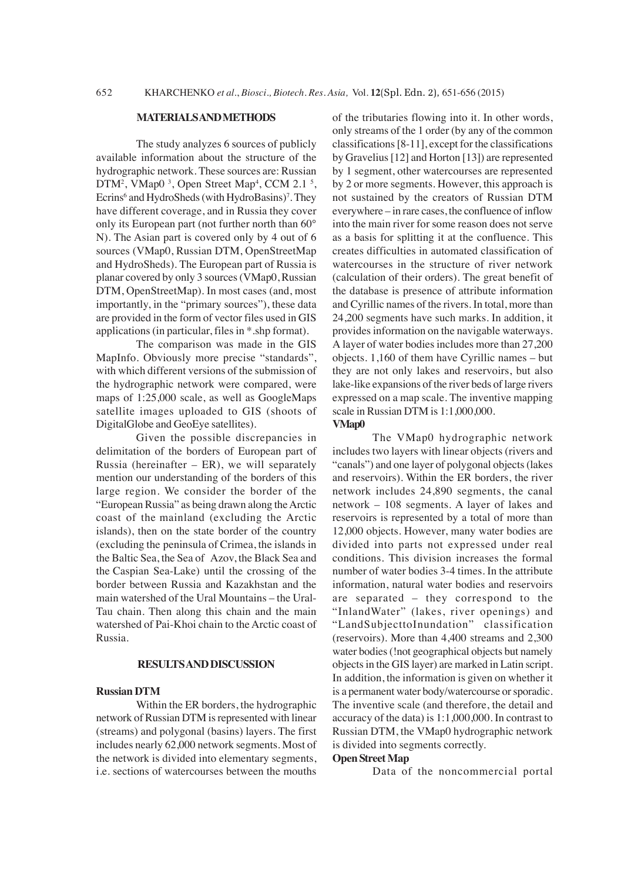### **MATERIALS AND METHODS**

The study analyzes 6 sources of publicly available information about the structure of the hydrographic network. These sources are: Russian DTM<sup>2</sup>, VMap0<sup>3</sup>, Open Street Map<sup>4</sup>, CCM 2.1<sup>5</sup>, Ecrins<sup>6</sup> and HydroSheds (with HydroBasins)<sup>7</sup>. They have different coverage, and in Russia they cover only its European part (not further north than 60° N). The Asian part is covered only by 4 out of 6 sources (VMap0, Russian DTM, OpenStreetMap and HydroSheds). The European part of Russia is planar covered by only 3 sources (VMap0, Russian DTM, OpenStreetMap). In most cases (and, most importantly, in the "primary sources"), these data are provided in the form of vector files used in GIS applications (in particular, files in \*.shp format).

The comparison was made in the GIS MapInfo. Obviously more precise "standards", with which different versions of the submission of the hydrographic network were compared, were maps of 1:25,000 scale, as well as GoogleMaps satellite images uploaded to GIS (shoots of DigitalGlobe and GeoEye satellites).

Given the possible discrepancies in delimitation of the borders of European part of Russia (hereinafter – ER), we will separately mention our understanding of the borders of this large region. We consider the border of the "European Russia" as being drawn along the Arctic coast of the mainland (excluding the Arctic islands), then on the state border of the country (excluding the peninsula of Crimea, the islands in the Baltic Sea, the Sea of Azov, the Black Sea and the Caspian Sea-Lake) until the crossing of the border between Russia and Kazakhstan and the main watershed of the Ural Mountains – the Ural-Tau chain. Then along this chain and the main watershed of Pai-Khoi chain to the Arctic coast of Russia.

### **RESULTS AND DISCUSSION**

## **Russian DTM**

Within the ER borders, the hydrographic network of Russian DTM is represented with linear (streams) and polygonal (basins) layers. The first includes nearly 62,000 network segments. Most of the network is divided into elementary segments, i.e. sections of watercourses between the mouths of the tributaries flowing into it. In other words, only streams of the 1 order (by any of the common classifications [8-11], except for the classifications by Gravelius [12] and Horton [13]) are represented by 1 segment, other watercourses are represented by 2 or more segments. However, this approach is not sustained by the creators of Russian DTM everywhere – in rare cases, the confluence of inflow into the main river for some reason does not serve as a basis for splitting it at the confluence. This creates difficulties in automated classification of watercourses in the structure of river network (calculation of their orders). The great benefit of the database is presence of attribute information and Cyrillic names of the rivers. In total, more than 24,200 segments have such marks. In addition, it provides information on the navigable waterways. A layer of water bodies includes more than 27,200 objects. 1,160 of them have Cyrillic names – but they are not only lakes and reservoirs, but also lake-like expansions of the river beds of large rivers expressed on a map scale. The inventive mapping scale in Russian DTM is 1:1,000,000.

#### **VMap0**

The VMap0 hydrographic network includes two layers with linear objects (rivers and "canals") and one layer of polygonal objects (lakes and reservoirs). Within the ER borders, the river network includes 24,890 segments, the canal network – 108 segments. A layer of lakes and reservoirs is represented by a total of more than 12,000 objects. However, many water bodies are divided into parts not expressed under real conditions. This division increases the formal number of water bodies 3-4 times. In the attribute information, natural water bodies and reservoirs are separated – they correspond to the "InlandWater" (lakes, river openings) and "LandSubjecttoInundation" classification (reservoirs). More than 4,400 streams and 2,300 water bodies (!not geographical objects but namely objects in the GIS layer) are marked in Latin script. In addition, the information is given on whether it is a permanent water body/watercourse or sporadic. The inventive scale (and therefore, the detail and accuracy of the data) is 1:1,000,000. In contrast to Russian DTM, the VMap0 hydrographic network is divided into segments correctly.

### **Open Street Map**

Data of the noncommercial portal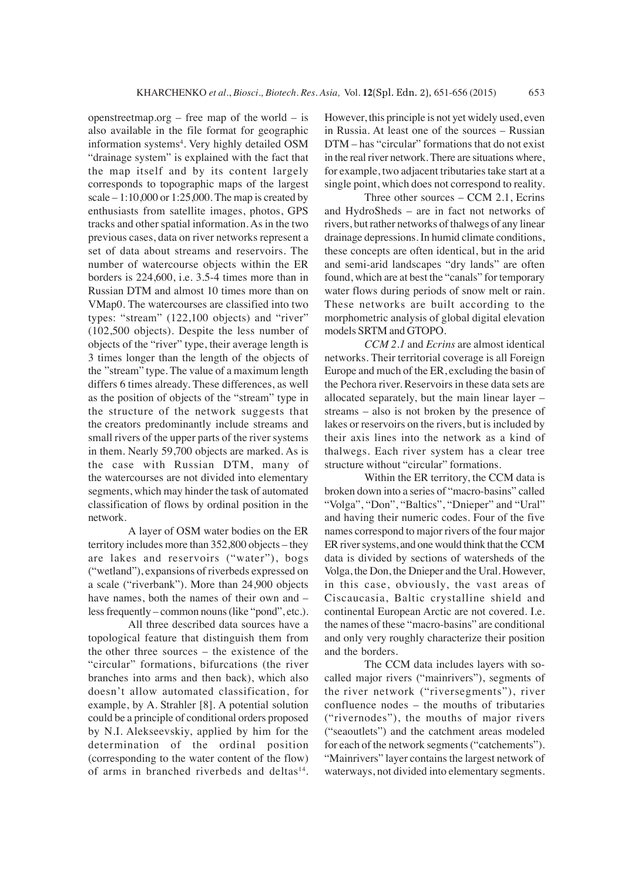openstreetmap.org – free map of the world – is also available in the file format for geographic information systems<sup>4</sup>. Very highly detailed OSM "drainage system" is explained with the fact that the map itself and by its content largely corresponds to topographic maps of the largest scale – 1:10,000 or 1:25,000. The map is created by enthusiasts from satellite images, photos, GPS tracks and other spatial information. As in the two previous cases, data on river networks represent a set of data about streams and reservoirs. The number of watercourse objects within the ER borders is 224,600, i.e. 3.5-4 times more than in Russian DTM and almost 10 times more than on VMap0. The watercourses are classified into two types: "stream" (122,100 objects) and "river" (102,500 objects). Despite the less number of objects of the "river" type, their average length is 3 times longer than the length of the objects of the "stream" type. The value of a maximum length differs 6 times already. These differences, as well as the position of objects of the "stream" type in the structure of the network suggests that the creators predominantly include streams and small rivers of the upper parts of the river systems in them. Nearly 59,700 objects are marked. As is the case with Russian DTM, many of the watercourses are not divided into elementary segments, which may hinder the task of automated classification of flows by ordinal position in the network.

A layer of OSM water bodies on the ER territory includes more than 352,800 objects – they are lakes and reservoirs ("water"), bogs ("wetland"), expansions of riverbeds expressed on a scale ("riverbank"). More than 24,900 objects have names, both the names of their own and – less frequently – common nouns (like "pond", etc.).

All three described data sources have a topological feature that distinguish them from the other three sources – the existence of the "circular" formations, bifurcations (the river branches into arms and then back), which also doesn't allow automated classification, for example, by A. Strahler [8]. A potential solution could be a principle of conditional orders proposed by N.I. Alekseevskiy, applied by him for the determination of the ordinal position (corresponding to the water content of the flow) of arms in branched riverbeds and deltas $14$ .

However, this principle is not yet widely used, even in Russia. At least one of the sources – Russian DTM – has "circular" formations that do not exist in the real river network. There are situations where, for example, two adjacent tributaries take start at a single point, which does not correspond to reality.

Three other sources – CCM 2.1, Ecrins and HydroSheds – are in fact not networks of rivers, but rather networks of thalwegs of any linear drainage depressions. In humid climate conditions, these concepts are often identical, but in the arid and semi-arid landscapes "dry lands" are often found, which are at best the "canals" for temporary water flows during periods of snow melt or rain. These networks are built according to the morphometric analysis of global digital elevation models SRTM and GTOPO.

*CCM 2.1* and *Ecrins* are almost identical networks. Their territorial coverage is all Foreign Europe and much of the ER, excluding the basin of the Pechora river. Reservoirs in these data sets are allocated separately, but the main linear layer – streams – also is not broken by the presence of lakes or reservoirs on the rivers, but is included by their axis lines into the network as a kind of thalwegs. Each river system has a clear tree structure without "circular" formations.

Within the ER territory, the CCM data is broken down into a series of "macro-basins" called "Volga", "Don", "Baltics", "Dnieper" and "Ural" and having their numeric codes. Four of the five names correspond to major rivers of the four major ER river systems, and one would think that the CCM data is divided by sections of watersheds of the Volga, the Don, the Dnieper and the Ural. However, in this case, obviously, the vast areas of Ciscaucasia, Baltic crystalline shield and continental European Arctic are not covered. I.e. the names of these "macro-basins" are conditional and only very roughly characterize their position and the borders.

The CCM data includes layers with socalled major rivers ("mainrivers"), segments of the river network ("riversegments"), river confluence nodes – the mouths of tributaries ("rivernodes"), the mouths of major rivers ("seaoutlets") and the catchment areas modeled for each of the network segments ("catchements"). "Mainrivers" layer contains the largest network of waterways, not divided into elementary segments.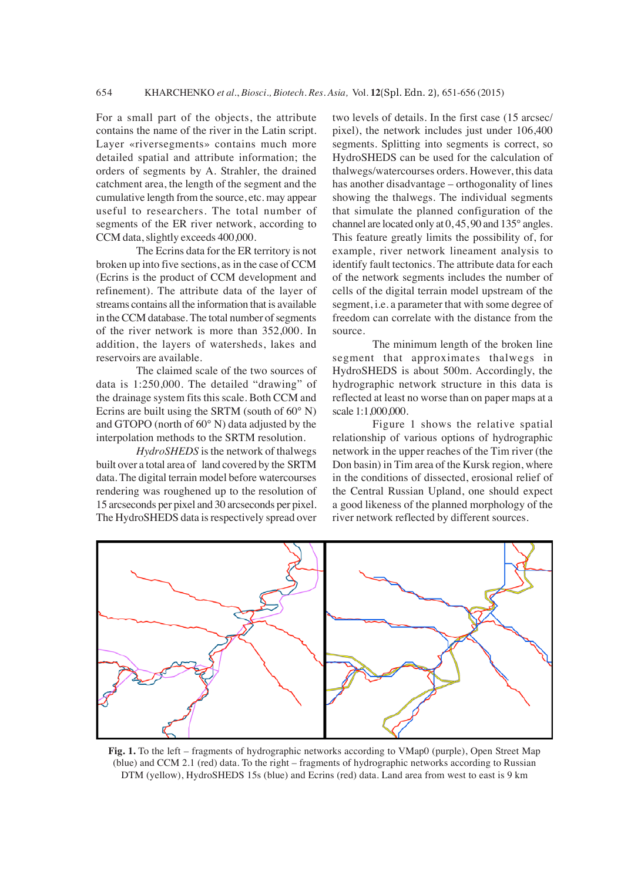For a small part of the objects, the attribute contains the name of the river in the Latin script. Layer «riversegments» contains much more detailed spatial and attribute information; the orders of segments by A. Strahler, the drained catchment area, the length of the segment and the cumulative length from the source, etc. may appear useful to researchers. The total number of segments of the ER river network, according to CCM data, slightly exceeds 400,000.

The Ecrins data for the ER territory is not broken up into five sections, as in the case of CCM (Ecrins is the product of CCM development and refinement). The attribute data of the layer of streams contains all the information that is available in the CCM database. The total number of segments of the river network is more than 352,000. In addition, the layers of watersheds, lakes and reservoirs are available.

The claimed scale of the two sources of data is 1:250,000. The detailed "drawing" of the drainage system fits this scale. Both CCM and Ecrins are built using the SRTM (south of 60° N) and GTOPO (north of 60° N) data adjusted by the interpolation methods to the SRTM resolution.

*HydroSHEDS* is the network of thalwegs built over a total area of land covered by the SRTM data. The digital terrain model before watercourses rendering was roughened up to the resolution of 15 arcseconds per pixel and 30 arcseconds per pixel. The HydroSHEDS data is respectively spread over

two levels of details. In the first case (15 arcsec/ pixel), the network includes just under 106,400 segments. Splitting into segments is correct, so HydroSHEDS can be used for the calculation of thalwegs/watercourses orders. However, this data has another disadvantage – orthogonality of lines showing the thalwegs. The individual segments that simulate the planned configuration of the channel are located only at 0, 45, 90 and 135° angles. This feature greatly limits the possibility of, for example, river network lineament analysis to identify fault tectonics. The attribute data for each of the network segments includes the number of cells of the digital terrain model upstream of the segment, i.e. a parameter that with some degree of freedom can correlate with the distance from the source.

The minimum length of the broken line segment that approximates thalwegs in HydroSHEDS is about 500m. Accordingly, the hydrographic network structure in this data is reflected at least no worse than on paper maps at a scale 1:1,000,000.

Figure 1 shows the relative spatial relationship of various options of hydrographic network in the upper reaches of the Tim river (the Don basin) in Tim area of the Kursk region, where in the conditions of dissected, erosional relief of the Central Russian Upland, one should expect a good likeness of the planned morphology of the river network reflected by different sources.



**Fig. 1.** To the left – fragments of hydrographic networks according to VMap0 (purple), Open Street Map (blue) and CCM 2.1 (red) data. To the right – fragments of hydrographic networks according to Russian DTM (yellow), HydroSHEDS 15s (blue) and Ecrins (red) data. Land area from west to east is 9 km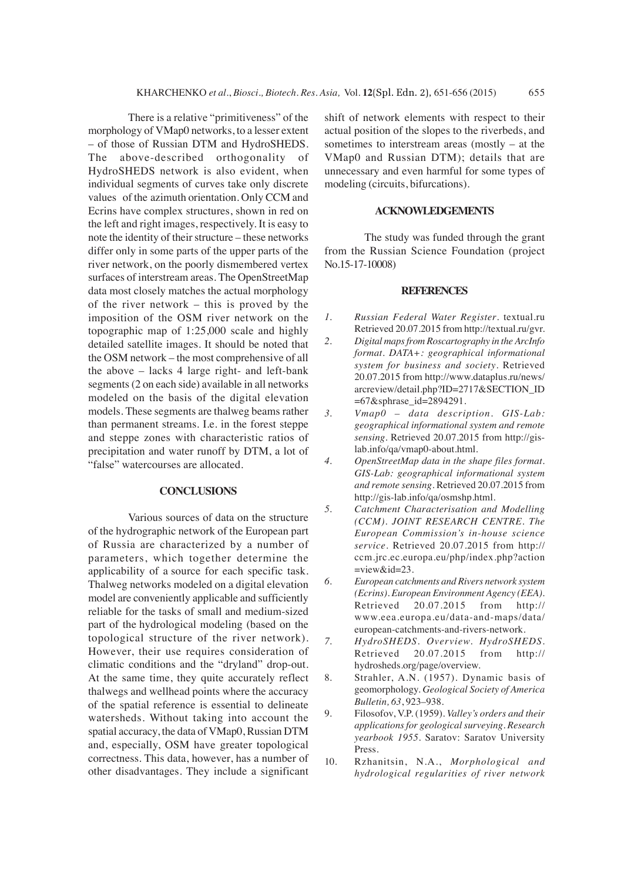There is a relative "primitiveness" of the morphology of VMap0 networks, to a lesser extent – of those of Russian DTM and HydroSHEDS. The above-described orthogonality of HydroSHEDS network is also evident, when individual segments of curves take only discrete values of the azimuth orientation. Only CCM and Ecrins have complex structures, shown in red on the left and right images, respectively. It is easy to note the identity of their structure – these networks differ only in some parts of the upper parts of the river network, on the poorly dismembered vertex surfaces of interstream areas. The OpenStreetMap data most closely matches the actual morphology of the river network – this is proved by the imposition of the OSM river network on the topographic map of 1:25,000 scale and highly detailed satellite images. It should be noted that the OSM network – the most comprehensive of all the above – lacks 4 large right- and left-bank segments (2 on each side) available in all networks modeled on the basis of the digital elevation models. These segments are thalweg beams rather than permanent streams. I.e. in the forest steppe and steppe zones with characteristic ratios of precipitation and water runoff by DTM, a lot of "false" watercourses are allocated.

# **CONCLUSIONS**

Various sources of data on the structure of the hydrographic network of the European part of Russia are characterized by a number of parameters, which together determine the applicability of a source for each specific task. Thalweg networks modeled on a digital elevation model are conveniently applicable and sufficiently reliable for the tasks of small and medium-sized part of the hydrological modeling (based on the topological structure of the river network). However, their use requires consideration of climatic conditions and the "dryland" drop-out. At the same time, they quite accurately reflect thalwegs and wellhead points where the accuracy of the spatial reference is essential to delineate watersheds. Without taking into account the spatial accuracy, the data of VMap0, Russian DTM and, especially, OSM have greater topological correctness. This data, however, has a number of other disadvantages. They include a significant

shift of network elements with respect to their actual position of the slopes to the riverbeds, and sometimes to interstream areas (mostly – at the VMap0 and Russian DTM); details that are unnecessary and even harmful for some types of modeling (circuits, bifurcations).

#### **ACKNOWLEDGEMENTS**

The study was funded through the grant from the Russian Science Foundation (project No.15-17-10008)

#### **REFERENCES**

- *1. Russian Federal Water Register*. textual.ru Retrieved 20.07.2015 from http://textual.ru/gvr.
- *2. Digital maps from Roscartography in the ArcInfo format. DATA+: geographical informational system for business and society*. Retrieved 20.07.2015 from http://www.dataplus.ru/news/ arcreview/detail.php?ID=2717&SECTION\_ID =67&sphrase\_id=2894291.
- *3. Vmap0 data description. GIS-Lab: geographical informational system and remote sensing*. Retrieved 20.07.2015 from http://gislab.info/qa/vmap0-about.html.
- *4. OpenStreetMap data in the shape files format. GIS-Lab: geographical informational system and remote sensing*. Retrieved 20.07.2015 from http://gis-lab.info/qa/osmshp.html.
- *5. Catchment Characterisation and Modelling (CCM). JOINT RESEARCH CENTRE. The European Commission's in-house science service*. Retrieved 20.07.2015 from http:// ccm.jrc.ec.europa.eu/php/index.php?action =view&id=23.
- *6. European catchments and Rivers network system (Ecrins). European Environment Agency (EEA)*. Retrieved 20.07.2015 from http:// www.eea.europa.eu/data-and-maps/data/ european-catchments-and-rivers-network.
- *7. HydroSHEDS. Overview. HydroSHEDS*. Retrieved 20.07.2015 from http:// hydrosheds.org/page/overview.
- 8. Strahler, A.N. (1957). Dynamic basis of geomorphology. *Geological Society of America Bulletin, 63*, 923–938.
- 9. Filosofov, V.P. (1959). *Valley's orders and their applications for geological surveying. Research yearbook 1955*. Saratov: Saratov University Press.
- 10. Rzhanitsin, N.A., *Morphological and hydrological regularities of river network*